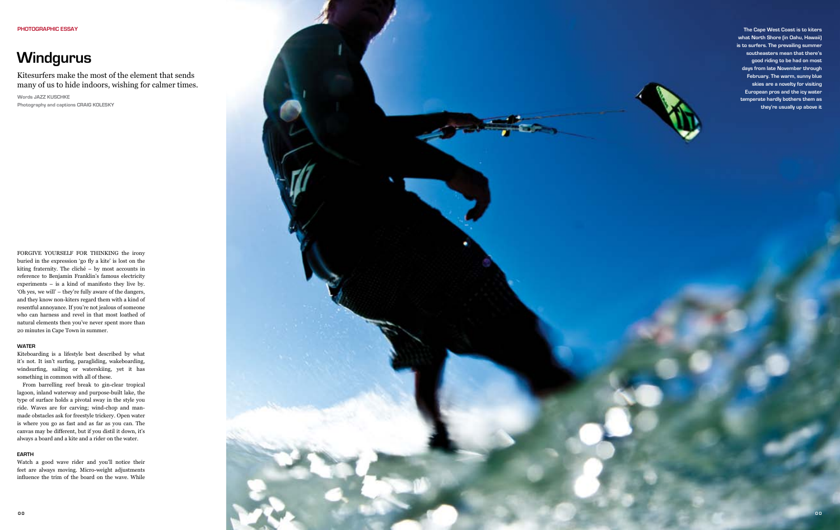# **Windgurus**

FORGIVE YOURSELF FOR THINKING the irony f buried in the expression 'go fly a kite' is lost on the kiting fraternity. The cliché – by most accounts in reference to Benjamin Franklin's famous electricity experiments – is a kind of manifesto they live by. 'Oh yes, we will' – they're fully aware of the dangers, and they know non-kiters regard them with a kind of resentful annoyance. If you're not jealous of someone who can harness and revel in that most loathed of natural elements then you've never spent more than 20 minutes in Cape Town in summer.

#### **Water**

Kiteboarding is a lifestyle best described by what it's not. It isn't surfing, paragliding, wakeboarding, windsurfing, sailing or waterskiing, yet it has something in common with all of these.

**Words jazz kusc hke** Photography and captions **CRAIG KOLESKY** 

From barrelling reef break to gin-clear tropical lagoon, inland waterway and purpose-built lake, the type of surface holds a pivotal sway in the style you ride. Waves are for carving; wind-chop and manmade obstacles ask for freestyle trickery. Open water is where you go as fast and as far as you can. The canvas may be different, but if you distil it down, it's always a board and a kite and a rider on the water.

## **EartH**

Watch a good wave rider and you'll notice their feet are always moving. Micro-weight adjustments influence the trim of the board on the wave. While



Kitesurfers make the most of the element that sends many of us to hide indoors, wishing for calmer times.

**The Cape West Coast is to kiters what North Shore (in Oahu, Hawaii) is to surfers. The prevailing summer southeasters mean that there's good riding to be had on most days from late November through February. The warm, sunny blue skies are a novelty for visiting European pros and the icy water temperate hardly bothers them as they're usually up above it**

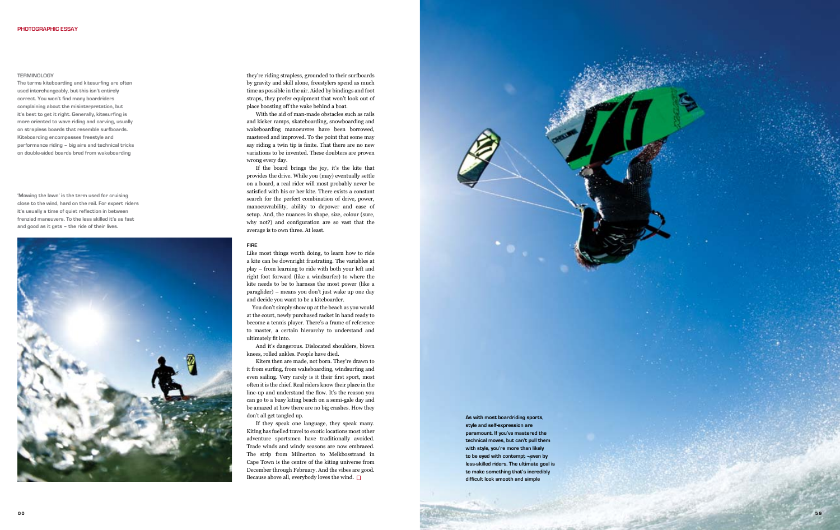

#### **Terminology**

**The terms kiteboarding and kitesurfing are often used interchangeably, but this isn't entirely correct. You won't find many boardriders complaining about the misinterpretation, but it's best to get it right. Generally, kitesurfing is more oriented to wave riding and carving, usually on strapless boards that resemble surfboards. Kiteboarding encompasses freestyle and performance riding – big airs and technical tricks on double-sided boards bred from wakeboarding**

they're riding strapless, grounded to their surfboards by gravity and skill alone, freestylers spend as much time as possible in the air. Aided by bindings and foot straps, they prefer equipment that won't look out of place boosting off the wake behind a boat.

With the aid of man-made obstacles such as rails and kicker ramps, skateboarding, snowboarding and wakeboarding manoeuvres have been borrowed, mastered and improved. To the point that some may say riding a twin tip is finite. That there are no new variations to be invented. These doubters are proven wrong every day.

If they speak one language, they speak many. Kiting has fuelled travel to exotic locations most other adventure sportsmen have traditionally avoided. Trade winds and windy seasons are now embraced. The strip from Milnerton to Melkbosstrand in Cape Town is the centre of the kiting universe from December through February. And the vibes are good. Because above all, everybody loves the wind.  $\Box$ 

If the board brings the joy, it's the kite that provides the drive. While you (may) eventually settle on a board, a real rider will most probably never be satisfied with his or her kite. There exists a constant search for the perfect combination of drive, power, manoeuvrability, ability to depower and ease of setup. And, the nuances in shape, size, colour (sure, why not?) and configuration are so vast that the average is to own three. At least.

## **Fire**

Like most things worth doing, to learn how to ride a kite can be downright frustrating. The variables at play – from learning to ride with both your left and right foot forward (like a windsurfer) to where the kite needs to be to harness the most power (like a paraglider) – means you don't just wake up one day and decide you want to be a kiteboarder.

You don't simply show up at the beach as you would at the court, newly purchased racket in hand ready to become a tennis player. There's a frame of reference to master, a certain hierarchy to understand and ultimately fit into.

And it's dangerous. Dislocated shoulders, blown knees, rolled ankles. People have died.

Kiters then are made, not born. They're drawn to it from surfing, from wakeboarding, windsurfing and even sailing. Very rarely is it their first sport, most often it is the chief. Real riders know their place in the line-up and understand the flow. It's the reason you can go to a busy kiting beach on a semi-gale day and be amazed at how there are no big crashes. How they don't all get tangled up.

**' Mowing the lawn' is the term used for cruising close to the wind, hard on the rail. For expert riders it's usually a time of quiet reflection in between frenzied maneuvers. To the less skilled it's as fast and good as it gets – the ride of their lives.**

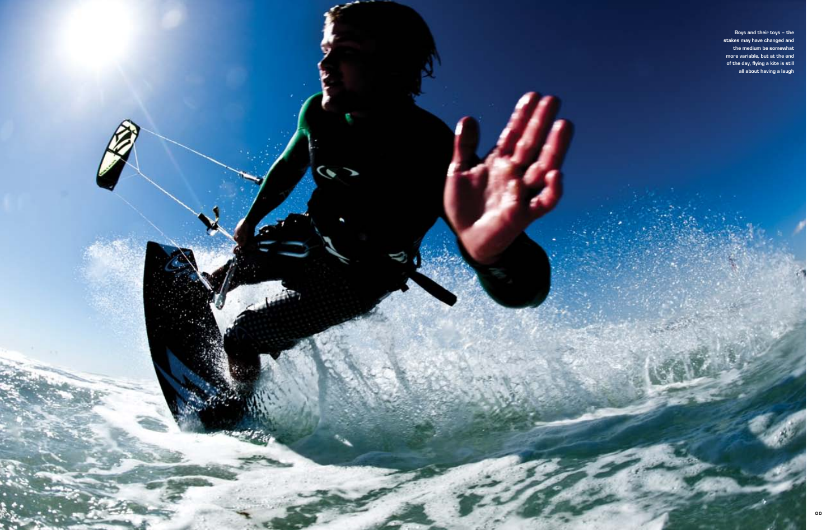

**Boys and their toys – the stakes may have changed and the medium be somewhat more variable, but at the end of the day, flying a kite is still all about having a laugh**

**WARREN**